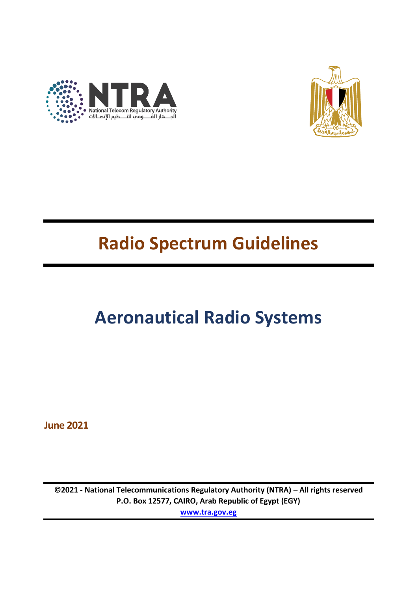



# **Radio Spectrum Guidelines**

# **Aeronautical Radio Systems**

**June 2021**

**©2021 - National Telecommunications Regulatory Authority (NTRA) – All rights reserved P.O. Box 12577, CAIRO, Arab Republic of Egypt (EGY) [www.tra.gov.eg](http://www.tra.gov.eg/)**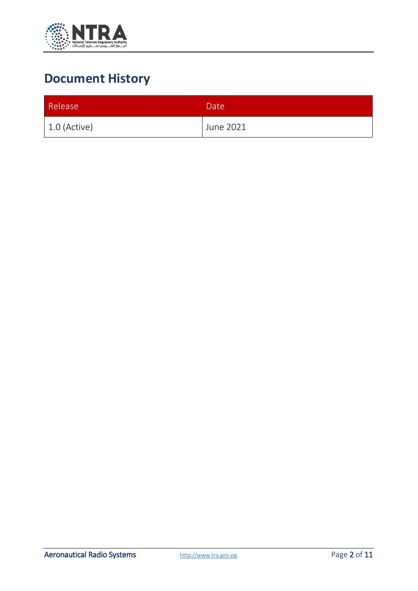

### **Document History**

| Release        | Date <sup>1</sup> |
|----------------|-------------------|
| $1.0$ (Active) | June 2021         |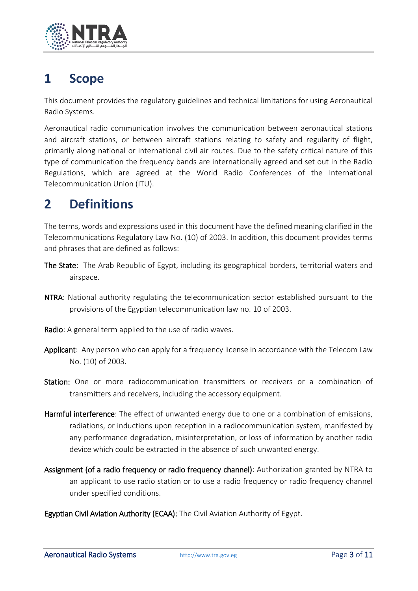

#### **1 Scope**

This document provides the regulatory guidelines and technical limitations for using Aeronautical Radio Systems.

Aeronautical radio communication involves the communication between aeronautical stations and aircraft stations, or between aircraft stations relating to safety and regularity of flight, primarily along national or international civil air routes. Due to the safety critical nature of this type of communication the frequency bands are internationally agreed and set out in the Radio Regulations, which are agreed at the World Radio Conferences of the International Telecommunication Union (ITU).

#### **2 Definitions**

The terms, words and expressions used in this document have the defined meaning clarified in the Telecommunications Regulatory Law No. (10) of 2003. In addition, this document provides terms and phrases that are defined as follows:

- The State: The Arab Republic of Egypt, including its geographical borders, territorial waters and airspace.
- NTRA: National authority regulating the telecommunication sector established pursuant to the provisions of the Egyptian telecommunication law no. 10 of 2003.
- Radio: A general term applied to the use of radio waves.
- Applicant: Any person who can apply for a frequency license in accordance with the Telecom Law No. (10) of 2003.
- Station: One or more radiocommunication transmitters or receivers or a combination of transmitters and receivers, including the accessory equipment.
- Harmful interference: The effect of unwanted energy due to one or a combination of emissions, radiations, or inductions upon reception in a radiocommunication system, manifested by any performance degradation, misinterpretation, or loss of information by another radio device which could be extracted in the absence of such unwanted energy.
- Assignment (of a radio frequency or radio frequency channel): Authorization granted by NTRA to an applicant to use radio station or to use a radio frequency or radio frequency channel under specified conditions.
- Egyptian Civil Aviation Authority (ECAA): The Civil Aviation Authority of Egypt.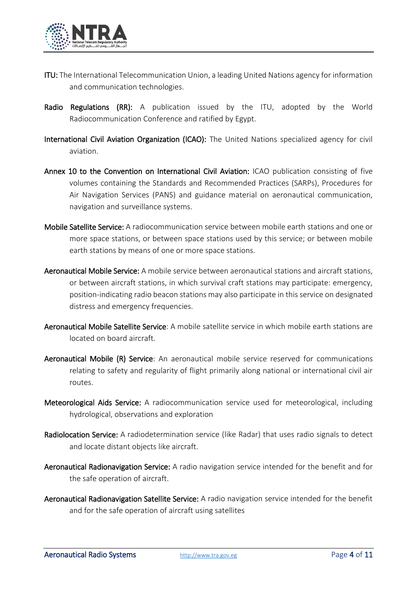

- ITU: The International Telecommunication Union, a leading United Nations agency for information and communication technologies.
- Radio Regulations (RR): A publication issued by the ITU, adopted by the World Radiocommunication Conference and ratified by Egypt.
- International Civil Aviation Organization (ICAO): The United Nations specialized agency for civil aviation.
- Annex 10 to the Convention on International Civil Aviation: ICAO publication consisting of five volumes containing the Standards and Recommended Practices (SARPs), Procedures for Air Navigation Services (PANS) and guidance material on aeronautical communication, navigation and surveillance systems.
- Mobile Satellite Service: A radiocommunication service between mobile earth stations and one or more space stations, or between space stations used by this service; or between mobile earth stations by means of one or more space stations.
- Aeronautical Mobile Service: A mobile service between aeronautical stations and aircraft stations, or between aircraft stations, in which survival craft stations may participate: emergency, position-indicating radio beacon stations may also participate in this service on designated distress and emergency frequencies.
- Aeronautical Mobile Satellite Service: A mobile satellite service in which mobile earth stations are located on board aircraft.
- Aeronautical Mobile (R) Service: An aeronautical mobile service reserved for communications relating to safety and regularity of flight primarily along national or international civil air routes.
- Meteorological Aids Service: A radiocommunication service used for meteorological, including hydrological, observations and exploration
- Radiolocation Service: A radiodetermination service (like Radar) that uses radio signals to detect and locate distant objects like aircraft.
- Aeronautical Radionavigation Service: A radio navigation service intended for the benefit and for the safe operation of aircraft.
- Aeronautical Radionavigation Satellite Service: A radio navigation service intended for the benefit and for the safe operation of aircraft using satellites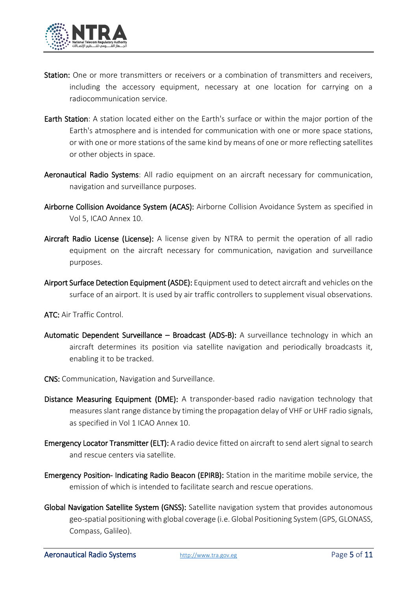

- Station: One or more transmitters or receivers or a combination of transmitters and receivers. including the accessory equipment, necessary at one location for carrying on a radiocommunication service.
- Earth Station: A station located either on the Earth's surface or within the major portion of the Earth's atmosphere and is intended for communication with one or more space stations, or with one or more stations of the same kind by means of one or more reflecting satellites or other objects in space.
- Aeronautical Radio Systems: All radio equipment on an aircraft necessary for communication, navigation and surveillance purposes.
- Airborne Collision Avoidance System (ACAS): Airborne Collision Avoidance System as specified in Vol 5, ICAO Annex 10.
- Aircraft Radio License (License): A license given by NTRA to permit the operation of all radio equipment on the aircraft necessary for communication, navigation and surveillance purposes.
- Airport Surface Detection Equipment (ASDE): Equipment used to detect aircraft and vehicles on the surface of an airport. It is used by air traffic controllers to supplement visual observations.

ATC: Air Traffic Control.

- Automatic Dependent Surveillance Broadcast (ADS-B): A surveillance technology in which an aircraft determines its position via satellite navigation and periodically broadcasts it, enabling it to be tracked.
- CNS: Communication, Navigation and Surveillance.
- Distance Measuring Equipment (DME): A transponder-based radio navigation technology that measures slant range distance by timing the propagation delay of VHF or UHF radio signals, as specified in Vol 1 ICAO Annex 10.
- **Emergency Locator Transmitter (ELT):** A radio device fitted on aircraft to send alert signal to search and rescue centers via satellite.
- Emergency Position- Indicating Radio Beacon (EPIRB): Station in the maritime mobile service, the emission of which is intended to facilitate search and rescue operations.
- Global Navigation Satellite System (GNSS): Satellite navigation system that provides autonomous geo-spatial positioning with global coverage (i.e. Global Positioning System (GPS, GLONASS, Compass, Galileo).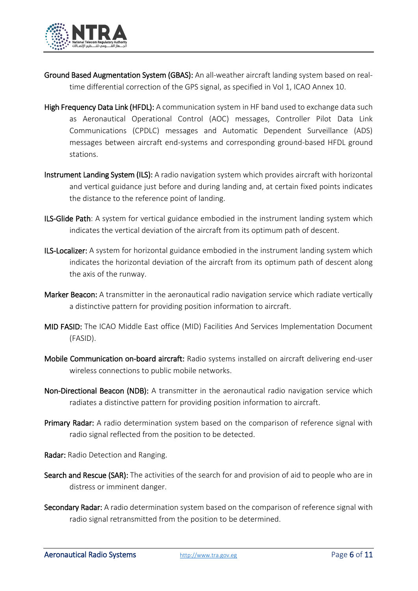

- Ground Based Augmentation System (GBAS): An all-weather aircraft landing system based on realtime differential correction of the GPS signal, as specified in Vol 1, ICAO Annex 10.
- High Frequency Data Link (HFDL): A communication system in HF band used to exchange data such as Aeronautical Operational Control (AOC) messages, Controller Pilot Data Link Communications (CPDLC) messages and Automatic Dependent Surveillance (ADS) messages between aircraft end-systems and corresponding ground-based HFDL ground stations.
- **Instrument Landing System (ILS):** A radio navigation system which provides aircraft with horizontal and vertical guidance just before and during landing and, at certain fixed points indicates the distance to the reference point of landing.
- ILS-Glide Path: A system for vertical guidance embodied in the instrument landing system which indicates the vertical deviation of the aircraft from its optimum path of descent.
- ILS-Localizer: A system for horizontal guidance embodied in the instrument landing system which indicates the horizontal deviation of the aircraft from its optimum path of descent along the axis of the runway.
- Marker Beacon: A transmitter in the aeronautical radio navigation service which radiate vertically a distinctive pattern for providing position information to aircraft.
- MID FASID: The ICAO Middle East office (MID) Facilities And Services Implementation Document (FASID).
- Mobile Communication on-board aircraft: Radio systems installed on aircraft delivering end-user wireless connections to public mobile networks.
- Non-Directional Beacon (NDB): A transmitter in the aeronautical radio navigation service which radiates a distinctive pattern for providing position information to aircraft.
- **Primary Radar:** A radio determination system based on the comparison of reference signal with radio signal reflected from the position to be detected.
- Radar: Radio Detection and Ranging.
- Search and Rescue (SAR): The activities of the search for and provision of aid to people who are in distress or imminent danger.
- Secondary Radar: A radio determination system based on the comparison of reference signal with radio signal retransmitted from the position to be determined.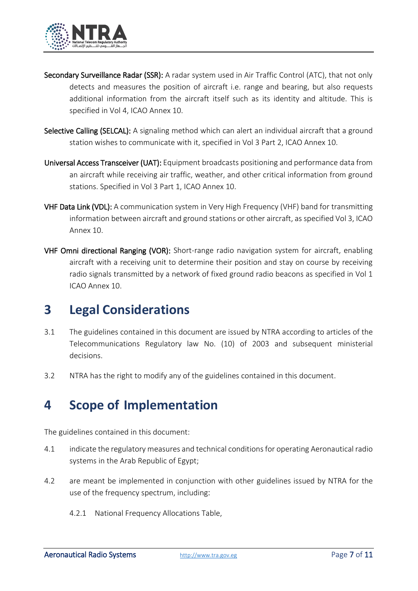

- Secondary Surveillance Radar (SSR): A radar system used in Air Traffic Control (ATC), that not only detects and measures the position of aircraft i.e. range and bearing, but also requests additional information from the aircraft itself such as its identity and altitude. This is specified in Vol 4, ICAO Annex 10.
- Selective Calling (SELCAL): A signaling method which can alert an individual aircraft that a ground station wishes to communicate with it, specified in Vol 3 Part 2, ICAO Annex 10.
- Universal Access Transceiver (UAT): Equipment broadcasts positioning and performance data from an aircraft while receiving air traffic, weather, and other critical information from ground stations. Specified in Vol 3 Part 1, ICAO Annex 10.
- VHF Data Link (VDL): A communication system in Very High Frequency (VHF) band for transmitting information between aircraft and ground stations or other aircraft, as specified Vol 3, ICAO Annex 10.
- VHF Omni directional Ranging (VOR): Short-range radio navigation system for aircraft, enabling aircraft with a receiving unit to determine their position and stay on course by receiving radio signals transmitted by a network of fixed ground radio beacons as specified in Vol 1 ICAO Annex 10.

#### **3 Legal Considerations**

- 3.1 The guidelines contained in this document are issued by NTRA according to articles of the Telecommunications Regulatory law No. (10) of 2003 and subsequent ministerial decisions.
- 3.2 NTRA has the right to modify any of the guidelines contained in this document.

#### **4 Scope of Implementation**

The guidelines contained in this document:

- 4.1 indicate the regulatory measures and technical conditions for operating Aeronautical radio systems in the Arab Republic of Egypt;
- 4.2 are meant be implemented in conjunction with other guidelines issued by NTRA for the use of the frequency spectrum, including:
	- 4.2.1 National Frequency Allocations Table,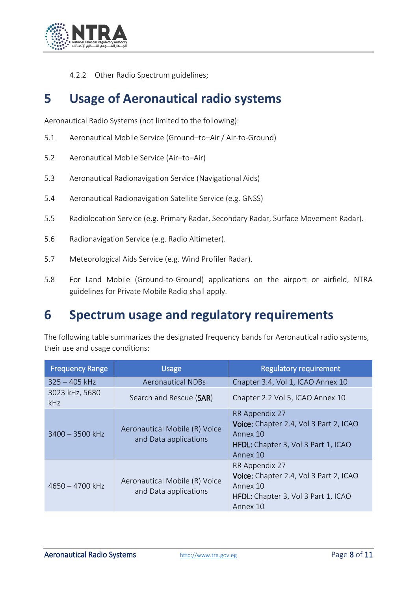

4.2.2 Other Radio Spectrum guidelines;

#### **5 Usage of Aeronautical radio systems**

Aeronautical Radio Systems (not limited to the following):

- 5.1 Aeronautical Mobile Service (Ground–to–Air / Air-to-Ground)
- 5.2 Aeronautical Mobile Service (Air–to–Air)
- 5.3 Aeronautical Radionavigation Service (Navigational Aids)
- 5.4 Aeronautical Radionavigation Satellite Service (e.g. GNSS)
- 5.5 Radiolocation Service (e.g. Primary Radar, Secondary Radar, Surface Movement Radar).
- 5.6 Radionavigation Service (e.g. Radio Altimeter).
- 5.7 Meteorological Aids Service (e.g. Wind Profiler Radar).
- 5.8 For Land Mobile (Ground-to-Ground) applications on the airport or airfield, NTRA guidelines for Private Mobile Radio shall apply.

#### **6 Spectrum usage and regulatory requirements**

The following table summarizes the designated frequency bands for Aeronautical radio systems, their use and usage conditions:

| <b>Frequency Range</b>       | <b>Usage</b>                                           | <b>Regulatory requirement</b>                                                                                           |
|------------------------------|--------------------------------------------------------|-------------------------------------------------------------------------------------------------------------------------|
| $325 - 405$ kHz              | <b>Aeronautical NDBs</b>                               | Chapter 3.4, Vol 1, ICAO Annex 10                                                                                       |
| 3023 kHz, 5680<br><b>kHz</b> | Search and Rescue (SAR)                                | Chapter 2.2 Vol 5, ICAO Annex 10                                                                                        |
| $3400 - 3500$ kHz            | Aeronautical Mobile (R) Voice<br>and Data applications | RR Appendix 27<br>Voice: Chapter 2.4, Vol 3 Part 2, ICAO<br>Annex 10<br>HFDL: Chapter 3, Vol 3 Part 1, ICAO<br>Annex 10 |
| $4650 - 4700$ kHz            | Aeronautical Mobile (R) Voice<br>and Data applications | RR Appendix 27<br>Voice: Chapter 2.4, Vol 3 Part 2, ICAO<br>Annex 10<br>HFDL: Chapter 3, Vol 3 Part 1, ICAO<br>Annex 10 |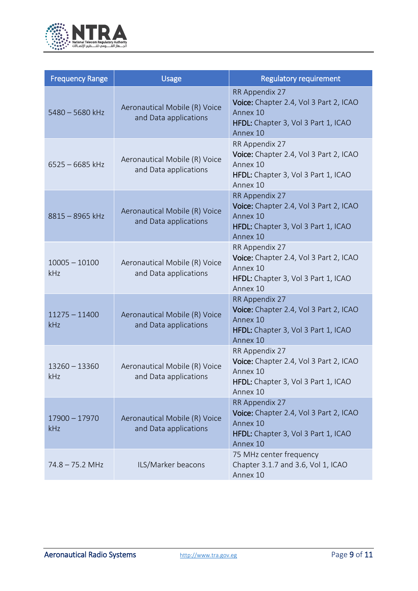

| <b>Frequency Range</b> | <b>Usage</b>                                           | <b>Regulatory requirement</b>                                                                                           |
|------------------------|--------------------------------------------------------|-------------------------------------------------------------------------------------------------------------------------|
| $5480 - 5680$ kHz      | Aeronautical Mobile (R) Voice<br>and Data applications | RR Appendix 27<br>Voice: Chapter 2.4, Vol 3 Part 2, ICAO<br>Annex 10<br>HFDL: Chapter 3, Vol 3 Part 1, ICAO<br>Annex 10 |
| $6525 - 6685$ kHz      | Aeronautical Mobile (R) Voice<br>and Data applications | RR Appendix 27<br>Voice: Chapter 2.4, Vol 3 Part 2, ICAO<br>Annex 10<br>HFDL: Chapter 3, Vol 3 Part 1, ICAO<br>Annex 10 |
| $8815 - 8965$ kHz      | Aeronautical Mobile (R) Voice<br>and Data applications | RR Appendix 27<br>Voice: Chapter 2.4, Vol 3 Part 2, ICAO<br>Annex 10<br>HFDL: Chapter 3, Vol 3 Part 1, ICAO<br>Annex 10 |
| $10005 - 10100$<br>kHz | Aeronautical Mobile (R) Voice<br>and Data applications | RR Appendix 27<br>Voice: Chapter 2.4, Vol 3 Part 2, ICAO<br>Annex 10<br>HFDL: Chapter 3, Vol 3 Part 1, ICAO<br>Annex 10 |
| $11275 - 11400$<br>kHz | Aeronautical Mobile (R) Voice<br>and Data applications | RR Appendix 27<br>Voice: Chapter 2.4, Vol 3 Part 2, ICAO<br>Annex 10<br>HFDL: Chapter 3, Vol 3 Part 1, ICAO<br>Annex 10 |
| $13260 - 13360$<br>kHz | Aeronautical Mobile (R) Voice<br>and Data applications | RR Appendix 27<br>Voice: Chapter 2.4, Vol 3 Part 2, ICAO<br>Annex 10<br>HFDL: Chapter 3, Vol 3 Part 1, ICAO<br>Annex 10 |
| $17900 - 17970$<br>kHz | Aeronautical Mobile (R) Voice<br>and Data applications | RR Appendix 27<br>Voice: Chapter 2.4, Vol 3 Part 2, ICAO<br>Annex 10<br>HFDL: Chapter 3, Vol 3 Part 1, ICAO<br>Annex 10 |
| $74.8 - 75.2$ MHz      | ILS/Marker beacons                                     | 75 MHz center frequency<br>Chapter 3.1.7 and 3.6, Vol 1, ICAO<br>Annex 10                                               |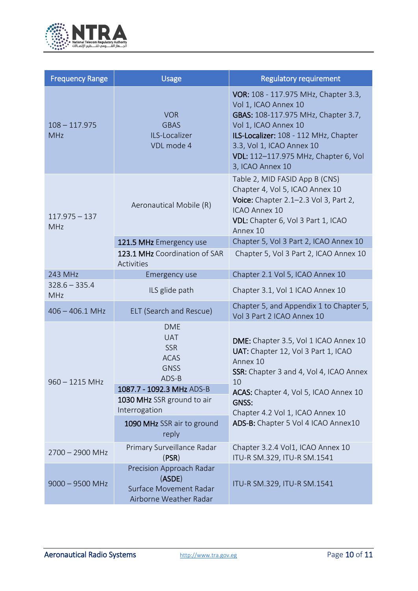

| <b>Frequency Range</b>        | <b>Usage</b>                                                                                                                             | <b>Regulatory requirement</b>                                                                                                                                                                                                                                 |
|-------------------------------|------------------------------------------------------------------------------------------------------------------------------------------|---------------------------------------------------------------------------------------------------------------------------------------------------------------------------------------------------------------------------------------------------------------|
| $108 - 117.975$<br><b>MHz</b> | <b>VOR</b><br><b>GBAS</b><br>ILS-Localizer<br>VDL mode 4                                                                                 | VOR: 108 - 117.975 MHz, Chapter 3.3,<br>Vol 1, ICAO Annex 10<br>GBAS: 108-117.975 MHz, Chapter 3.7,<br>Vol 1, ICAO Annex 10<br>ILS-Localizer: 108 - 112 MHz, Chapter<br>3.3, Vol 1, ICAO Annex 10<br>VDL: 112-117.975 MHz, Chapter 6, Vol<br>3, ICAO Annex 10 |
| $117.975 - 137$<br>MHz        | Aeronautical Mobile (R)                                                                                                                  | Table 2, MID FASID App B (CNS)<br>Chapter 4, Vol 5, ICAO Annex 10<br>Voice: Chapter 2.1-2.3 Vol 3, Part 2,<br>ICAO Annex 10<br>VDL: Chapter 6, Vol 3 Part 1, ICAO<br>Annex 10                                                                                 |
|                               | 121.5 MHz Emergency use                                                                                                                  | Chapter 5, Vol 3 Part 2, ICAO Annex 10                                                                                                                                                                                                                        |
|                               | 123.1 MHz Coordination of SAR<br>Activities                                                                                              | Chapter 5, Vol 3 Part 2, ICAO Annex 10                                                                                                                                                                                                                        |
| 243 MHz                       | Emergency use                                                                                                                            | Chapter 2.1 Vol 5, ICAO Annex 10                                                                                                                                                                                                                              |
| $328.6 - 335.4$<br>MHz        | ILS glide path                                                                                                                           | Chapter 3.1, Vol 1 ICAO Annex 10                                                                                                                                                                                                                              |
| $406 - 406.1$ MHz             | ELT (Search and Rescue)                                                                                                                  | Chapter 5, and Appendix 1 to Chapter 5,<br>Vol 3 Part 2 ICAO Annex 10                                                                                                                                                                                         |
| $960 - 1215$ MHz              | <b>DME</b><br><b>UAT</b><br><b>SSR</b><br><b>ACAS</b><br><b>GNSS</b><br>ADS-B<br>1087.7 - 1092.3 MHz ADS-B<br>1030 MHz SSR ground to air | DME: Chapter 3.5, Vol 1 ICAO Annex 10<br>UAT: Chapter 12, Vol 3 Part 1, ICAO<br>Annex 10<br>SSR: Chapter 3 and 4, Vol 4, ICAO Annex<br>10<br>ACAS: Chapter 4, Vol 5, ICAO Annex 10<br>GNSS:                                                                   |
|                               | Interrogation                                                                                                                            | Chapter 4.2 Vol 1, ICAO Annex 10                                                                                                                                                                                                                              |
|                               | 1090 MHz SSR air to ground<br>reply                                                                                                      | ADS-B: Chapter 5 Vol 4 ICAO Annex10                                                                                                                                                                                                                           |
| $2700 - 2900$ MHz             | Primary Surveillance Radar<br>(PSR)                                                                                                      | Chapter 3.2.4 Vol1, ICAO Annex 10<br>ITU-R SM.329, ITU-R SM.1541                                                                                                                                                                                              |
| $9000 - 9500$ MHz             | Precision Approach Radar<br>(ASDE)<br>Surface Movement Radar<br>Airborne Weather Radar                                                   | ITU-R SM.329, ITU-R SM.1541                                                                                                                                                                                                                                   |